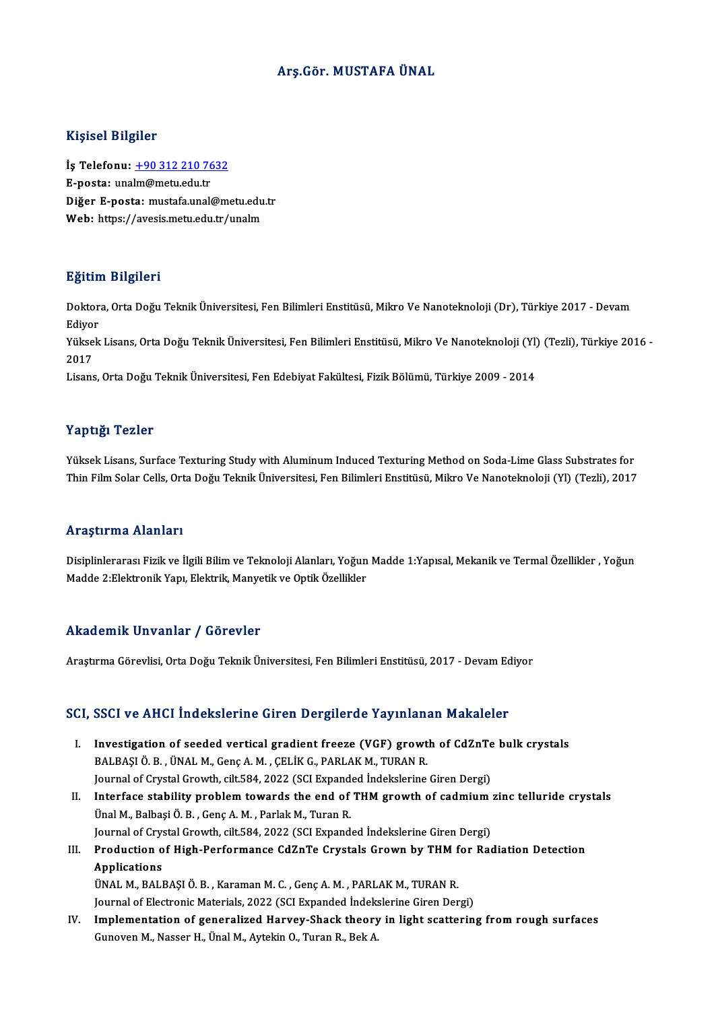# Arş.Gör.MUSTAFA ÜNAL

## Kişisel Bilgiler

Kişisel Bilgiler<br>İş Telefonu: <u>+90 312 210 7632</u><br>E nosta: unalm@mstu.edu.tr 11131011<br>İş Telefonu: <u>+90 312 210 76</u><br>E-posta: una[lm@metu.edu.tr](tel:+90 312 210 7632)<br>Diğer E posta: mustafa.unald İş Telefonu: <u>+90 312 210 7632</u><br>E-posta: unalm@metu.edu.tr<br>Diğer E-posta: mustafa.unal@metu.edu.tr<br>Web: https://avesis.metu.edu.tr/unalm E-posta: unalm@metu.edu.tr<br>Diğer E-posta: mustafa.unal@metu.edu<br>Web: https://avesis.metu.edu.tr/unalm

## Eğitim Bilgileri

**Eğitim Bilgileri**<br>Doktora, Orta Doğu Teknik Üniversitesi, Fen Bilimleri Enstitüsü, Mikro Ve Nanoteknoloji (Dr), Türkiye 2017 - Devam<br>Ediver Lester<br>Doktor<br>Ediyor Doktora, Orta Doğu Teknik Üniversitesi, Fen Bilimleri Enstitüsü, Mikro Ve Nanoteknoloji (Dr), Türkiye 2017 - Devam<br>Ediyor<br>Yüksek Lisans, Orta Doğu Teknik Üniversitesi, Fen Bilimleri Enstitüsü, Mikro Ve Nanoteknoloji (Yl) (

Ediyol<br>Yükse<br>2017<br>Lisare Yüksek Lisans, Orta Doğu Teknik Üniversitesi, Fen Bilimleri Enstitüsü, Mikro Ve Nanoteknoloji (Yl)<br>2017<br>Lisans, Orta Doğu Teknik Üniversitesi, Fen Edebiyat Fakültesi, Fizik Bölümü, Türkiye 2009 - 2014

Lisans, Orta Doğu Teknik Üniversitesi, Fen Edebiyat Fakültesi, Fizik Bölümü, Türkiye 2009 - 2014<br>Yaptığı Tezler

Yüksek Lisans, Surface Texturing Study with Aluminum Induced Texturing Method on Soda-Lime Glass Substrates for Thin Film Solar Cells, Orta Doğu Teknik Üniversitesi, Fen Bilimleri Enstitüsü, Mikro Ve Nanoteknoloji (Yl) (Tezli), 2017

## Araştırma Alanları

**Araştırma Alanları**<br>Disiplinlerarası Fizik ve İlgili Bilim ve Teknoloji Alanları, Yoğun Madde 1:Yapısal, Mekanik ve Termal Özellikler , Yoğun<br>Madda 2:Elektronik Yapı, Flektrik, Manyatik ve Ontik Özellikler 111 ayen ma Tramarı<br>Disiplinlerarası Fizik ve İlgili Bilim ve Teknoloji Alanları, Yoğun<br>Madde 2:Elektronik Yapı, Elektrik, Manyetik ve Optik Özellikler Madde 2:Elektronik Yapı, Elektrik, Manyetik ve Optik Özellikler<br>Akademik Unvanlar / Görevler

Araştırma Görevlisi, Orta Doğu Teknik Üniversitesi, Fen Bilimleri Enstitüsü, 2017 - Devam Ediyor

# Araşurma Göreviisi, Orta Doğu Teknik Universitesi, Fen Bilimieri Enstitusu, 2017 - Devam Ed<br>SCI, SSCI ve AHCI İndekslerine Giren Dergilerde Yayınlanan Makaleler

- CI, SSCI ve AHCI İndekslerine Giren Dergilerde Yayınlanan Makaleler<br>I. Investigation of seeded vertical gradient freeze (VGF) growth of CdZnTe bulk crystals<br>RALBASLÖ B. ÜNALM CODS A.M. CELİK C. BABLAKM TURAN B. I. Investigation of seeded vertical gradient freeze (VGF) growth of CdZnTe bulk crystals<br>BALBAŞIÖ.B., ÜNALM., Genç A.M., ÇELİKG., PARLAKM., TURAN R. Investigation of seeded vertical gradient freeze (VGF) growth of CdZnTe<br>BALBAŞI Ö. B. , ÜNAL M., Genç A. M. , ÇELİK G., PARLAK M., TURAN R.<br>Journal of Crystal Growth, cilt.584, 2022 (SCI Expanded İndekslerine Giren Dergi)<br>
- II. Interface stability problem towards the end of THM growth of cadmium zinc telluride crystals<br>Ünal M., Balbasi Ö. B., Genç A. M., Parlak M., Turan R. Journal of Crystal Growth, cilt.584, 2022 (SCI Expand<br>Interface stability problem towards the end of<br>Ünal M., Balbaşi Ö. B. , Genç A. M. , Parlak M., Turan R.<br>Journal of Crystal Crowth, silt 594, 2022 (SCI Eypand Interface stability problem towards the end of THM growth of cadmium<br>Ünal M., Balbaşi Ö. B. , Genç A. M. , Parlak M., Turan R.<br>Journal of Crystal Growth, cilt.584, 2022 (SCI Expanded İndekslerine Giren Dergi)<br>Production of Ünal M., Balbaşi Ö. B. , Genç A. M. , Parlak M., Turan R.<br>Journal of Crystal Growth, cilt.584, 2022 (SCI Expanded İndekslerine Giren Dergi)<br>III. Production of High-Performance CdZnTe Crystals Grown by THM for Radiation
- **Journal of Crys<br>Production o<br>Applications**<br><sup>IIMAL M PALI</sup> Production of High-Performance CdZnTe Crystals Grown by THM f<br>Applications<br>ÜNAL M., BALBAŞI Ö. B. , Karaman M. C. , Genç A. M. , PARLAK M., TURAN R.<br>Journal of Electronic Meterials, 2022 (SCL Euronded İndekslerine Ciren De Applications<br>ÜNAL M., BALBAŞI Ö. B. , Karaman M. C. , Genç A. M. , PARLAK M., TURAN R.<br>Journal of Electronic Materials, 2022 (SCI Expanded İndekslerine Giren Dergi)

- 
- IV. Implementation of generalized Harvey-Shack theory in light scattering fromrough surfaces Gunoven M., Nasser H., Ünal M., Aytekin O., Turan R., Bek A.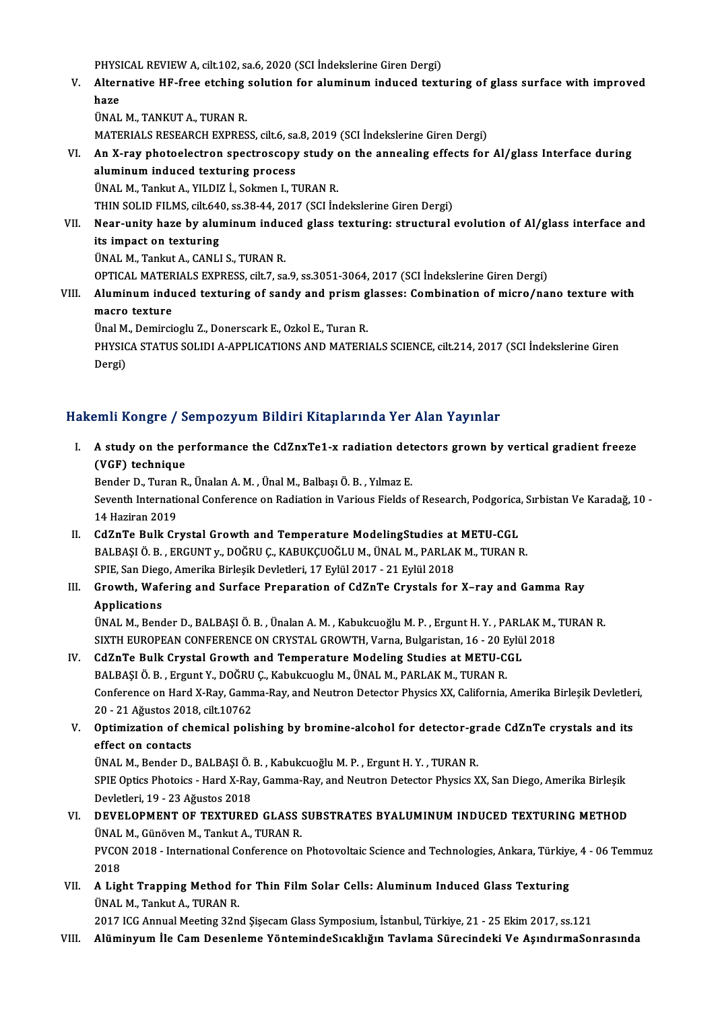PHYSICAL REVIEW A, cilt.102, sa.6, 2020 (SCI İndekslerine Giren Dergi)<br>Altannatiya HE fras atabing salutian far aluminum indusad taytı

- PHYSICAL REVIEW A, cilt.102, sa.6, 2020 (SCI İndekslerine Giren Dergi)<br>V. Alternative HF-free etching solution for aluminum induced texturing of glass surface with improved PHYSI<br><mark>Alter:</mark><br>haze<br>üNAL Alternative HF-free etching<br>haze<br>ÜNAL M., TANKUT A., TURAN R.<br>MATEDIALS BESEARCH EVPRES haze<br>ÜNAL M., TANKUT A., TURAN R.<br>MATERIALS RESEARCH EXPRESS, cilt.6, sa.8, 2019 (SCI İndekslerine Giren Dergi)<br>An X ray photoelectron spectrossony study on the annealing effects for
	-

UNAL M., TANKUT A., TURAN R.<br>MATERIALS RESEARCH EXPRESS, cilt.6, sa.8, 2019 (SCI Indekslerine Giren Dergi)<br>VI. An X-ray photoelectron spectroscopy study on the annealing effects for Al/glass Interface during<br>aluminum i MATERIALS RESEARCH EXPRESS, cilt.6, sa<br>An X-ray photoelectron spectroscopy<br>aluminum induced texturing process An X-ray photoelectron spectroscopy study (<br>aluminum induced texturing process<br>ÜNAL M., Tankut A., YILDIZ İ., Sokmen I., TURAN R.<br>THIN SOLID EU MS. cilt 640, ss 29,44, 2017 (SCLİD aluminum induced texturing process<br>ÜNAL M., Tankut A., YILDIZ İ., Sokmen I., TURAN R.<br>THIN SOLID FILMS, cilt.640, ss.38-44, 2017 (SCI İndekslerine Giren Dergi)

# ÜNAL M., Tankut A., YILDIZ İ., Sokmen I., TURAN R.<br>THIN SOLID FILMS, cilt.640, ss.38-44, 2017 (SCI İndekslerine Giren Dergi)<br>VII. Near-unity haze by aluminum induced glass texturing: structural evolution of Al/glass in THIN SOLID FILMS, cilt.64<br>Near-unity haze by alur<br>its impact on texturing<br><sup>IIMAL</sup>M, Taplut A, CANLI Near-unity haze by aluminum indue<br>its impact on texturing<br>ÜNAL M., Tankut A., CANLI S., TURAN R.<br>OPTICAL MATERIALS EXPRESS silt 7, 89 its impact on texturing<br>ÜNAL M., Tankut A., CANLI S., TURAN R.<br>OPTICAL MATERIALS EXPRESS, cilt.7, sa.9, ss.3051-3064, 2017 (SCI İndekslerine Giren Dergi)

UNAL M., Tankut A., CANLI S., TURAN R.<br>OPTICAL MATERIALS EXPRESS, cilt.7, sa.9, ss.3051-3064, 2017 (SCI Indekslerine Giren Dergi)<br>VIII. Aluminum induced texturing of sandy and prism glasses: Combination of micro/nano t OPTICAL MATER<br>Aluminum indu<br>macro texture Aluminum induced texturing of sandy and prism g<br>macro texture<br>Ünal M., Demircioglu Z., Donerscark E., Ozkol E., Turan R.<br>PHYSICA STATUS SOLIDLA APPLICATIONS AND MATERL

Ünal M., Demircioglu Z., Donerscark E., Ozkol E., Turan R.

macro texture<br>Ünal M., Demircioglu Z., Donerscark E., Ozkol E., Turan R.<br>PHYSICA STATUS SOLIDI A-APPLICATIONS AND MATERIALS SCIENCE, cilt.214, 2017 (SCI İndekslerine Giren<br>Dergi)

# Hakemli Kongre / Sempozyum Bildiri Kitaplarında Yer Alan Yayınlar

akemli Kongre / Sempozyum Bildiri Kitaplarında Yer Alan Yayınlar<br>I. A study on the performance the CdZnxTe1-x radiation detectors grown by vertical gradient freeze (VGF) technique<br>Bender D., Turan R., Ünalan A. M., Ünal M., Balbaşı Ö. B., Yılmaz E. A study on the performance the CdZnxTe1-x radiation det<br>(VGF) technique<br>Bender D., Turan R., Ünalan A.M. , Ünal M., Balbaşı Ö.B. , Yılmaz E.<br>Seventh International Conference on Badiation in Verious Fields e

(VGF) technique<br>Bender D., Turan R., Ünalan A. M. , Ünal M., Balbaşı Ö. B. , Yılmaz E.<br>Seventh International Conference on Radiation in Various Fields of Research, Podgorica, Sırbistan Ve Karadağ, 10 -Bender D., Turan<br>Seventh Internation<br>14 Haziran 2019<br>CdZnTe Pulk Cr Seventh International Conference on Radiation in Various Fields of Research, Podgorica<br>14 Haziran 2019<br>II. CdZnTe Bulk Crystal Growth and Temperature ModelingStudies at METU-CGL<br>PALPASI Ö. P. ERCUNT.v. DOČPU C. KAPUKCUOČLU

- 14 Haziran 2019<br>II. CdZnTe Bulk Crystal Growth and Temperature ModelingStudies at METU-CGL<br>BALBAŞI Ö. B. , ERGUNT y., DOĞRU Ç., KABUKÇUOĞLU M., ÜNAL M., PARLAK M., TURAN R. CdZnTe Bulk Crystal Growth and Temperature ModelingStudies at<br>BALBAŞI Ö. B. , ERGUNT y., DOĞRU Ç., KABUKÇUOĞLU M., ÜNAL M., PARLAI<br>SPIE, San Diego, Amerika Birleşik Devletleri, 17 Eylül 2017 - 21 Eylül 2018<br>Crowth, Wafarin
- III. Growth, Wafering and Surface Preparation of CdZnTe Crystals for X-ray and Gamma Ray<br>Applications **SPIE, San Diego<br>Growth, Wafe<br>Applications** Growth, Wafering and Surface Preparation of CdZnTe Crystals for X–ray and Gamma Ray<br>Applications<br>ÜNAL M., Bender D., BALBAŞI Ö. B. , Ünalan A. M. , Kabukcuoğlu M. P. , Ergunt H. Y. , PARLAK M., TURAN R.<br>SIVTH EUROPEAN CONE

Applications<br>ÜNAL M., Bender D., BALBAŞI Ö. B. , Ünalan A. M. , Kabukcuoğlu M. P. , Ergunt H. Y. , PARLAK M.,<br>SIXTH EUROPEAN CONFERENCE ON CRYSTAL GROWTH, Varna, Bulgaristan, 16 - 20 Eylül 2018<br>GdZpTe Bulk Gaystal Growth a UNAL M., Bender D., BALBAŞI Ö. B. , Ünalan A. M. , Kabukcuoğlu M. P. , Ergunt H. Y. , PARL<br>SIXTH EUROPEAN CONFERENCE ON CRYSTAL GROWTH, Varna, Bulgaristan, 16 - 20 Eylü.<br>IV. CdZnTe Bulk Crystal Growth and Temperature Model

- SIXTH EUROPEAN CONFERENCE ON CRYSTAL GROWTH, Varna, Bulgaristan, 16 20 E<br>CdZnTe Bulk Crystal Growth and Temperature Modeling Studies at METU-C<br>BALBAŞI Ö. B. , Ergunt Y., DOĞRU Ç., Kabukcuoglu M., ÜNAL M., PARLAK M., TURA Conference on Hard X-Ray, Gamma-Ray, and Neutron Detector Physics XX, California, Amerika Birleşik Devletleri,<br>20 - 21 Ağustos 2018, cilt.10762 BALBAŞI Ö. B., Ergunt Y., DOĞRU Ç., Kabukcuoglu M., ÜNAL M., PARLAK M., TURAN R. Conference on Hard X-Ray, Gamma-Ray, and Neutron Detector Physics XX, California, Amerika Birleşik Devletler<br>20 - 21 Ağustos 2018, cilt.10762<br>V. Optimization of chemical polishing by bromine-alcohol for detector-grade CdZn
- 20 21 Ağustos 2011<br>Optimization of cheffect on contacts<br><sup>UNALM</sup> Pender D Optimization of chemical polishing by bromine-alcohol for detector-greffect on contacts<br>Effect on contacts<br>ÜNAL M., Bender D., BALBAŞI Ö. B. , Kabukcuoğlu M. P. , Ergunt H. Y. , TURAN R.<br>SPIE Optics Photoiss , Hard Y Bay,

effect on contacts<br>ÜNAL M., Bender D., BALBAŞI Ö. B. , Kabukcuoğlu M. P. , Ergunt H. Y. , TURAN R.<br>SPIE Optics Photoics - Hard X-Ray, Gamma-Ray, and Neutron Detector Physics XX, San Diego, Amerika Birleşik<br>Devlatleri 19, . ÜNAL M., Bender D., BALBAŞI Ö. B. , Kabukcuoğlu M. P. , Ergunt H. Y. , TURAN R.<br>SPIE Optics Photoics - Hard X-Ray, Gamma-Ray, and Neutron Detector Physics XX, San Diego, Amerika Birleşik<br>Devletleri, 19 - 23 Ağustos 2018<br>VI SPIE Optics Photoics - Hard X-Ray, Gamma-Ray, and Neutron Detector Physics XX, San Diego, Amerika Birleşik<br>Devletleri, 19 - 23 Ağustos 2018<br>VI. DEVELOPMENT OF TEXTURED GLASS SUBSTRATES BYALUMINUM INDUCED TEXTURING METHOD

# Devletleri, 19 - 23 Ağustos 2018<br>DEVELOPMENT OF TEXTURED GLASS :<br>ÜNAL M., Günöven M., Tankut A., TURAN R.<br>PVCON 2018 - International Conference on PVCON 2018 - International Conference on Photovoltaic Science and Technologies, Ankara, Türkiye, 4 - 06 Temmuz<br>2018 UNAL<br>PVCOI<br>2018 PVCON 2018 - International Conference on Photovoltaic Science and Technologies, Ankara, Türkiye<br>2018<br>VII. A Light Trapping Method for Thin Film Solar Cells: Aluminum Induced Glass Texturing<br><sup>INALM</sup> Tenhut A TUPAN P

2018<br>A Light Trapping Method f<br>ÜNAL M., Tankut A., TURAN R.<br>2017 ICC Annual Meeting 22n

ÜNAL M., Tankut A., TURAN R.<br>2017 ICG Annual Meeting 32nd Şişecam Glass Symposium, İstanbul, Türkiye, 21 - 25 Ekim 2017, ss.121

VIII. Alüminyum İle Cam Desenleme YöntemindeSıcaklığın Tavlama Sürecindeki Ve AşındırmaSonrasında